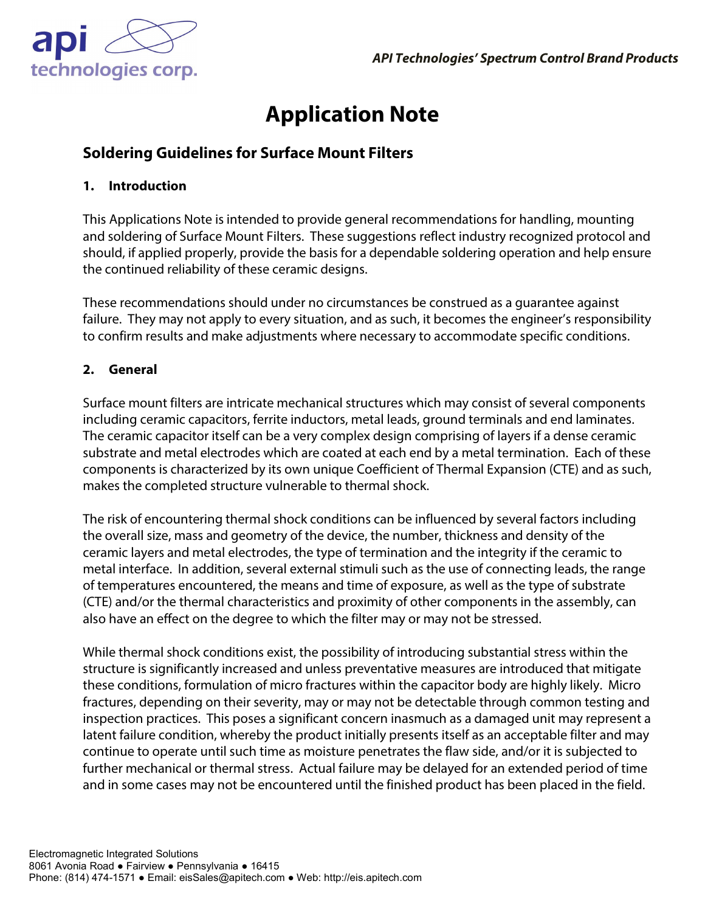

# **Application Note**

# **Soldering Guidelines for Surface Mount Filters**

#### **1. Introduction**

This Applications Note is intended to provide general recommendations for handling, mounting and soldering of Surface Mount Filters. These suggestions reflect industry recognized protocol and should, if applied properly, provide the basis for a dependable soldering operation and help ensure the continued reliability of these ceramic designs.

These recommendations should under no circumstances be construed as a guarantee against failure. They may not apply to every situation, and as such, it becomes the engineer's responsibility to confirm results and make adjustments where necessary to accommodate specific conditions.

# **2. General**

Surface mount filters are intricate mechanical structures which may consist of several components including ceramic capacitors, ferrite inductors, metal leads, ground terminals and end laminates. The ceramic capacitor itself can be a very complex design comprising of layers if a dense ceramic substrate and metal electrodes which are coated at each end by a metal termination. Each of these components is characterized by its own unique Coefficient of Thermal Expansion (CTE) and as such, makes the completed structure vulnerable to thermal shock.

The risk of encountering thermal shock conditions can be influenced by several factors including the overall size, mass and geometry of the device, the number, thickness and density of the ceramic layers and metal electrodes, the type of termination and the integrity if the ceramic to metal interface. In addition, several external stimuli such as the use of connecting leads, the range of temperatures encountered, the means and time of exposure, as well as the type of substrate (CTE) and/or the thermal characteristics and proximity of other components in the assembly, can also have an effect on the degree to which the filter may or may not be stressed.

While thermal shock conditions exist, the possibility of introducing substantial stress within the structure is significantly increased and unless preventative measures are introduced that mitigate these conditions, formulation of micro fractures within the capacitor body are highly likely. Micro fractures, depending on their severity, may or may not be detectable through common testing and inspection practices. This poses a significant concern inasmuch as a damaged unit may represent a latent failure condition, whereby the product initially presents itself as an acceptable filter and may continue to operate until such time as moisture penetrates the flaw side, and/or it is subjected to further mechanical or thermal stress. Actual failure may be delayed for an extended period of time and in some cases may not be encountered until the finished product has been placed in the field.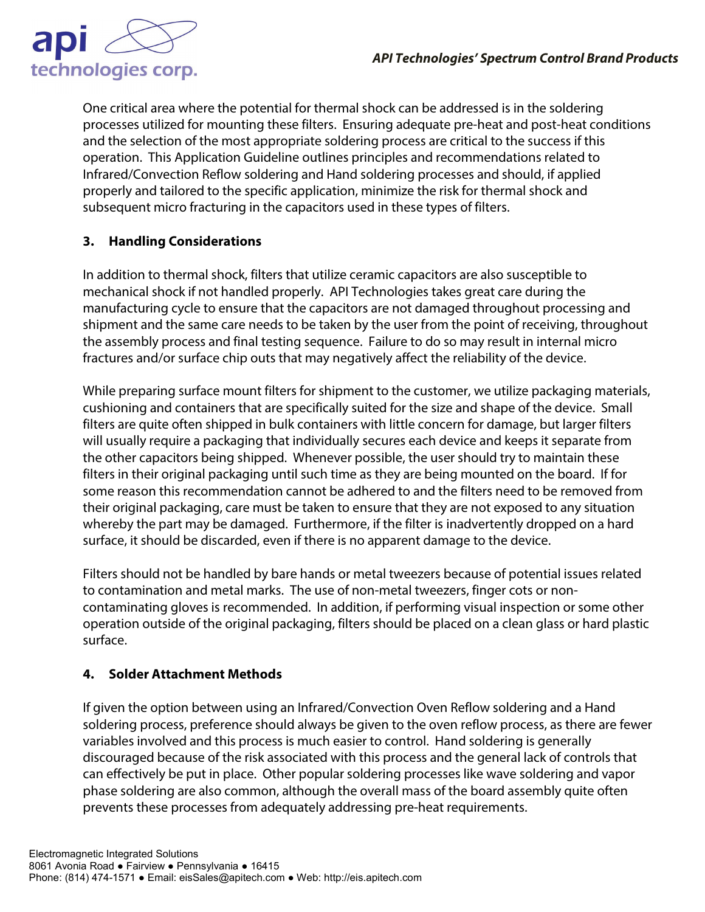

One critical area where the potential for thermal shock can be addressed is in the soldering processes utilized for mounting these filters. Ensuring adequate pre-heat and post-heat conditions and the selection of the most appropriate soldering process are critical to the success if this operation. This Application Guideline outlines principles and recommendations related to Infrared/Convection Reflow soldering and Hand soldering processes and should, if applied properly and tailored to the specific application, minimize the risk for thermal shock and subsequent micro fracturing in the capacitors used in these types of filters.

# **3. Handling Considerations**

In addition to thermal shock, filters that utilize ceramic capacitors are also susceptible to mechanical shock if not handled properly. API Technologies takes great care during the manufacturing cycle to ensure that the capacitors are not damaged throughout processing and shipment and the same care needs to be taken by the user from the point of receiving, throughout the assembly process and final testing sequence. Failure to do so may result in internal micro fractures and/or surface chip outs that may negatively affect the reliability of the device.

While preparing surface mount filters for shipment to the customer, we utilize packaging materials, cushioning and containers that are specifically suited for the size and shape of the device. Small filters are quite often shipped in bulk containers with little concern for damage, but larger filters will usually require a packaging that individually secures each device and keeps it separate from the other capacitors being shipped. Whenever possible, the user should try to maintain these filters in their original packaging until such time as they are being mounted on the board. If for some reason this recommendation cannot be adhered to and the filters need to be removed from their original packaging, care must be taken to ensure that they are not exposed to any situation whereby the part may be damaged. Furthermore, if the filter is inadvertently dropped on a hard surface, it should be discarded, even if there is no apparent damage to the device.

Filters should not be handled by bare hands or metal tweezers because of potential issues related to contamination and metal marks. The use of non-metal tweezers, finger cots or noncontaminating gloves is recommended. In addition, if performing visual inspection or some other operation outside of the original packaging, filters should be placed on a clean glass or hard plastic surface.

# **4. Solder Attachment Methods**

If given the option between using an Infrared/Convection Oven Reflow soldering and a Hand soldering process, preference should always be given to the oven reflow process, as there are fewer variables involved and this process is much easier to control. Hand soldering is generally discouraged because of the risk associated with this process and the general lack of controls that can effectively be put in place. Other popular soldering processes like wave soldering and vapor phase soldering are also common, although the overall mass of the board assembly quite often prevents these processes from adequately addressing pre-heat requirements.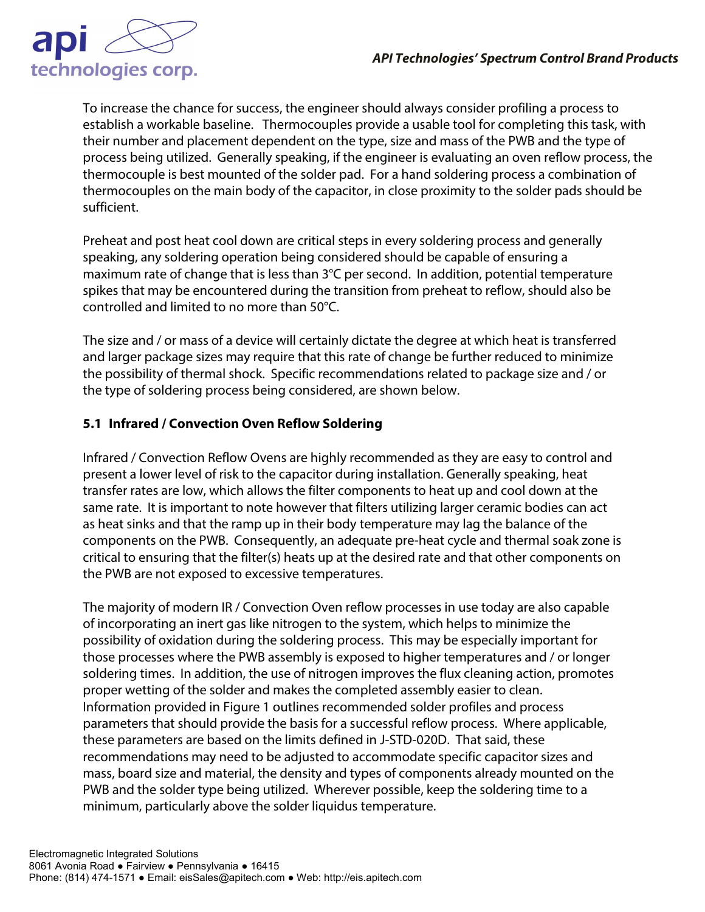

To increase the chance for success, the engineer should always consider profiling a process to establish a workable baseline. Thermocouples provide a usable tool for completing this task, with their number and placement dependent on the type, size and mass of the PWB and the type of process being utilized. Generally speaking, if the engineer is evaluating an oven reflow process, the thermocouple is best mounted of the solder pad. For a hand soldering process a combination of thermocouples on the main body of the capacitor, in close proximity to the solder pads should be sufficient.

Preheat and post heat cool down are critical steps in every soldering process and generally speaking, any soldering operation being considered should be capable of ensuring a maximum rate of change that is less than 3°C per second. In addition, potential temperature spikes that may be encountered during the transition from preheat to reflow, should also be controlled and limited to no more than 50°C.

The size and / or mass of a device will certainly dictate the degree at which heat is transferred and larger package sizes may require that this rate of change be further reduced to minimize the possibility of thermal shock. Specific recommendations related to package size and / or the type of soldering process being considered, are shown below.

# **5.1 Infrared / Convection Oven Reflow Soldering**

Infrared / Convection Reflow Ovens are highly recommended as they are easy to control and present a lower level of risk to the capacitor during installation. Generally speaking, heat transfer rates are low, which allows the filter components to heat up and cool down at the same rate. It is important to note however that filters utilizing larger ceramic bodies can act as heat sinks and that the ramp up in their body temperature may lag the balance of the components on the PWB. Consequently, an adequate pre-heat cycle and thermal soak zone is critical to ensuring that the filter(s) heats up at the desired rate and that other components on the PWB are not exposed to excessive temperatures.

The majority of modern IR / Convection Oven reflow processes in use today are also capable of incorporating an inert gas like nitrogen to the system, which helps to minimize the possibility of oxidation during the soldering process. This may be especially important for those processes where the PWB assembly is exposed to higher temperatures and / or longer soldering times. In addition, the use of nitrogen improves the flux cleaning action, promotes proper wetting of the solder and makes the completed assembly easier to clean. Information provided in Figure 1 outlines recommended solder profiles and process parameters that should provide the basis for a successful reflow process. Where applicable, these parameters are based on the limits defined in J-STD-020D. That said, these recommendations may need to be adjusted to accommodate specific capacitor sizes and mass, board size and material, the density and types of components already mounted on the PWB and the solder type being utilized. Wherever possible, keep the soldering time to a minimum, particularly above the solder liquidus temperature.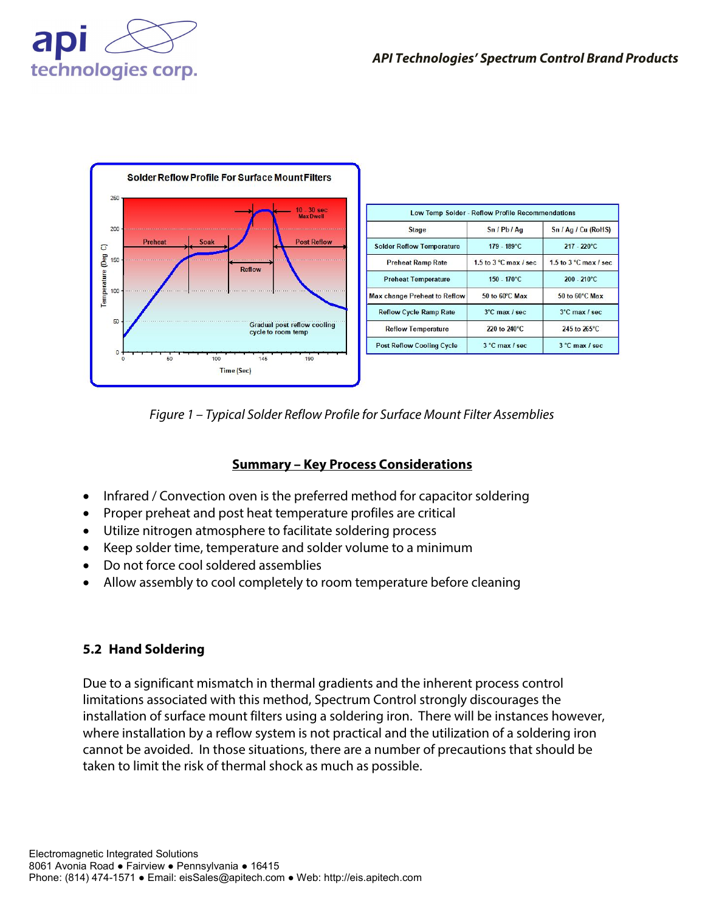

*Figure 1 – Typical Solder Reflow Profile for Surface Mount Filter Assemblies*

# **Summary – Key Process Considerations**

- Infrared / Convection oven is the preferred method for capacitor soldering
- Proper preheat and post heat temperature profiles are critical
- Utilize nitrogen atmosphere to facilitate soldering process
- Keep solder time, temperature and solder volume to a minimum
- Do not force cool soldered assemblies
- Allow assembly to cool completely to room temperature before cleaning

# **5.2 Hand Soldering**

Due to a significant mismatch in thermal gradients and the inherent process control limitations associated with this method, Spectrum Control strongly discourages the installation of surface mount filters using a soldering iron. There will be instances however, where installation by a reflow system is not practical and the utilization of a soldering iron cannot be avoided. In those situations, there are a number of precautions that should be taken to limit the risk of thermal shock as much as possible.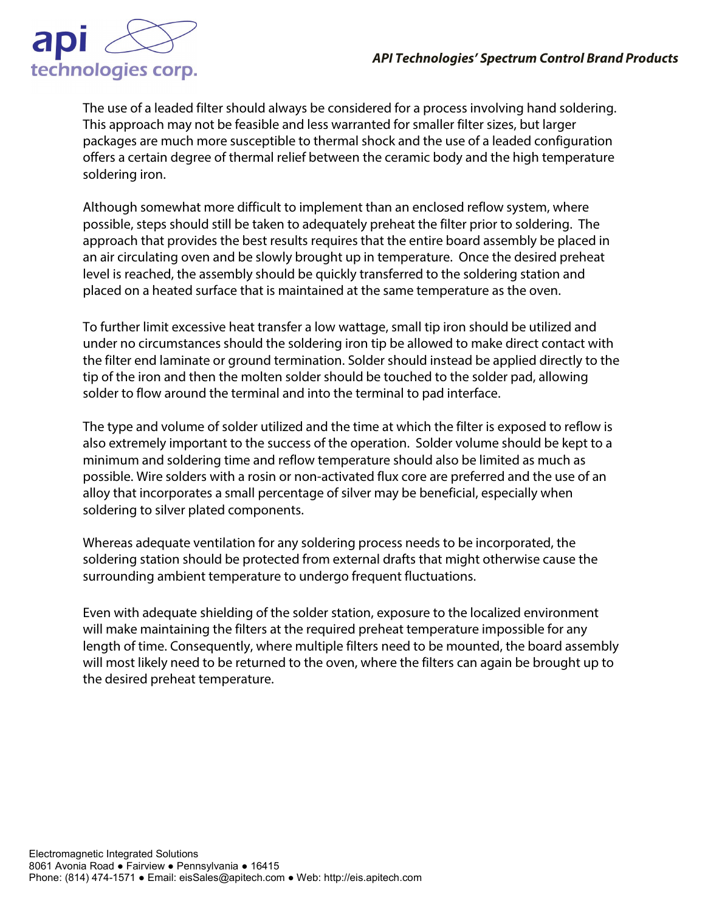

The use of a leaded filter should always be considered for a process involving hand soldering. This approach may not be feasible and less warranted for smaller filter sizes, but larger packages are much more susceptible to thermal shock and the use of a leaded configuration offers a certain degree of thermal relief between the ceramic body and the high temperature soldering iron.

Although somewhat more difficult to implement than an enclosed reflow system, where possible, steps should still be taken to adequately preheat the filter prior to soldering. The approach that provides the best results requires that the entire board assembly be placed in an air circulating oven and be slowly brought up in temperature. Once the desired preheat level is reached, the assembly should be quickly transferred to the soldering station and placed on a heated surface that is maintained at the same temperature as the oven.

To further limit excessive heat transfer a low wattage, small tip iron should be utilized and under no circumstances should the soldering iron tip be allowed to make direct contact with the filter end laminate or ground termination. Solder should instead be applied directly to the tip of the iron and then the molten solder should be touched to the solder pad, allowing solder to flow around the terminal and into the terminal to pad interface.

The type and volume of solder utilized and the time at which the filter is exposed to reflow is also extremely important to the success of the operation. Solder volume should be kept to a minimum and soldering time and reflow temperature should also be limited as much as possible. Wire solders with a rosin or non-activated flux core are preferred and the use of an alloy that incorporates a small percentage of silver may be beneficial, especially when soldering to silver plated components.

Whereas adequate ventilation for any soldering process needs to be incorporated, the soldering station should be protected from external drafts that might otherwise cause the surrounding ambient temperature to undergo frequent fluctuations.

Even with adequate shielding of the solder station, exposure to the localized environment will make maintaining the filters at the required preheat temperature impossible for any length of time. Consequently, where multiple filters need to be mounted, the board assembly will most likely need to be returned to the oven, where the filters can again be brought up to the desired preheat temperature.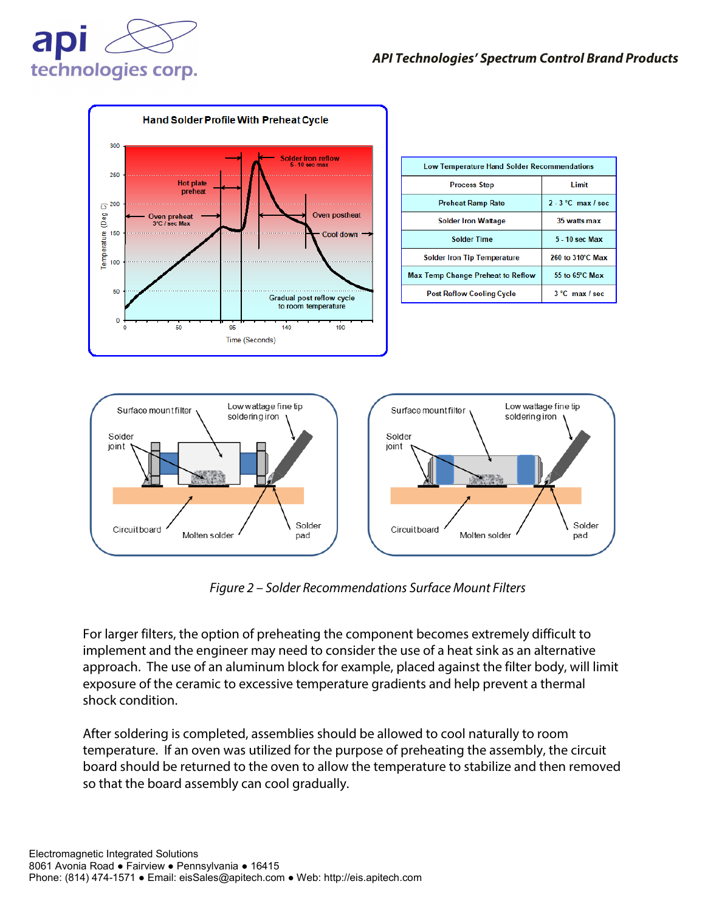



*Figure 2 – Solder Recommendations Surface Mount Filters*

For larger filters, the option of preheating the component becomes extremely difficult to implement and the engineer may need to consider the use of a heat sink as an alternative approach. The use of an aluminum block for example, placed against the filter body, will limit exposure of the ceramic to excessive temperature gradients and help prevent a thermal shock condition.

After soldering is completed, assemblies should be allowed to cool naturally to room temperature. If an oven was utilized for the purpose of preheating the assembly, the circuit board should be returned to the oven to allow the temperature to stabilize and then removed so that the board assembly can cool gradually.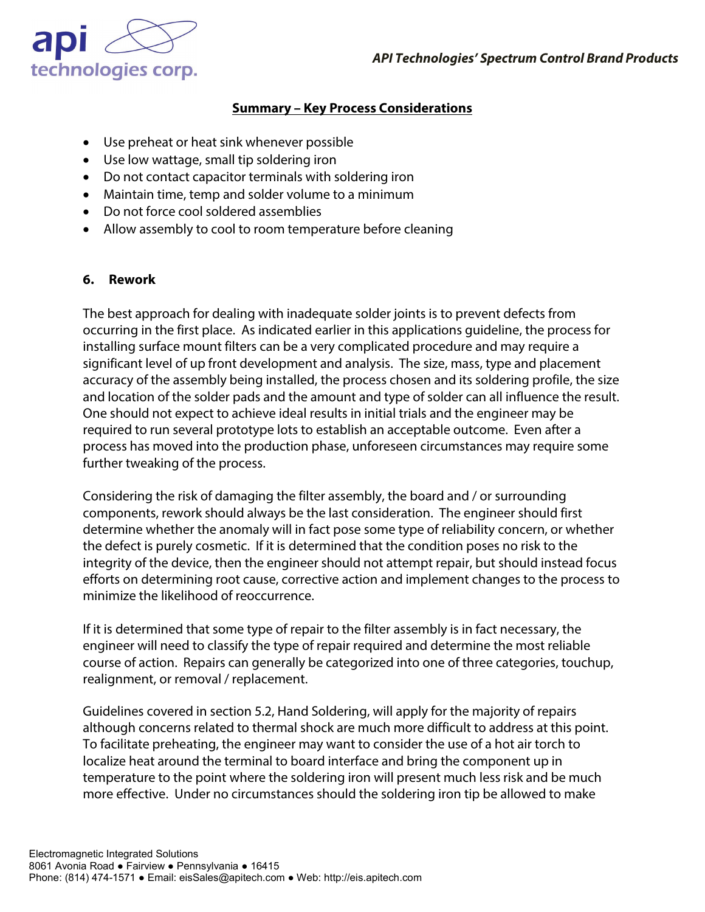

### **Summary – Key Process Considerations**

- Use preheat or heat sink whenever possible
- Use low wattage, small tip soldering iron
- Do not contact capacitor terminals with soldering iron
- Maintain time, temp and solder volume to a minimum
- Do not force cool soldered assemblies
- Allow assembly to cool to room temperature before cleaning

#### **6. Rework**

The best approach for dealing with inadequate solder joints is to prevent defects from occurring in the first place. As indicated earlier in this applications guideline, the process for installing surface mount filters can be a very complicated procedure and may require a significant level of up front development and analysis. The size, mass, type and placement accuracy of the assembly being installed, the process chosen and its soldering profile, the size and location of the solder pads and the amount and type of solder can all influence the result. One should not expect to achieve ideal results in initial trials and the engineer may be required to run several prototype lots to establish an acceptable outcome. Even after a process has moved into the production phase, unforeseen circumstances may require some further tweaking of the process.

Considering the risk of damaging the filter assembly, the board and / or surrounding components, rework should always be the last consideration. The engineer should first determine whether the anomaly will in fact pose some type of reliability concern, or whether the defect is purely cosmetic. If it is determined that the condition poses no risk to the integrity of the device, then the engineer should not attempt repair, but should instead focus efforts on determining root cause, corrective action and implement changes to the process to minimize the likelihood of reoccurrence.

If it is determined that some type of repair to the filter assembly is in fact necessary, the engineer will need to classify the type of repair required and determine the most reliable course of action. Repairs can generally be categorized into one of three categories, touchup, realignment, or removal / replacement.

Guidelines covered in section 5.2, Hand Soldering, will apply for the majority of repairs although concerns related to thermal shock are much more difficult to address at this point. To facilitate preheating, the engineer may want to consider the use of a hot air torch to localize heat around the terminal to board interface and bring the component up in temperature to the point where the soldering iron will present much less risk and be much more effective. Under no circumstances should the soldering iron tip be allowed to make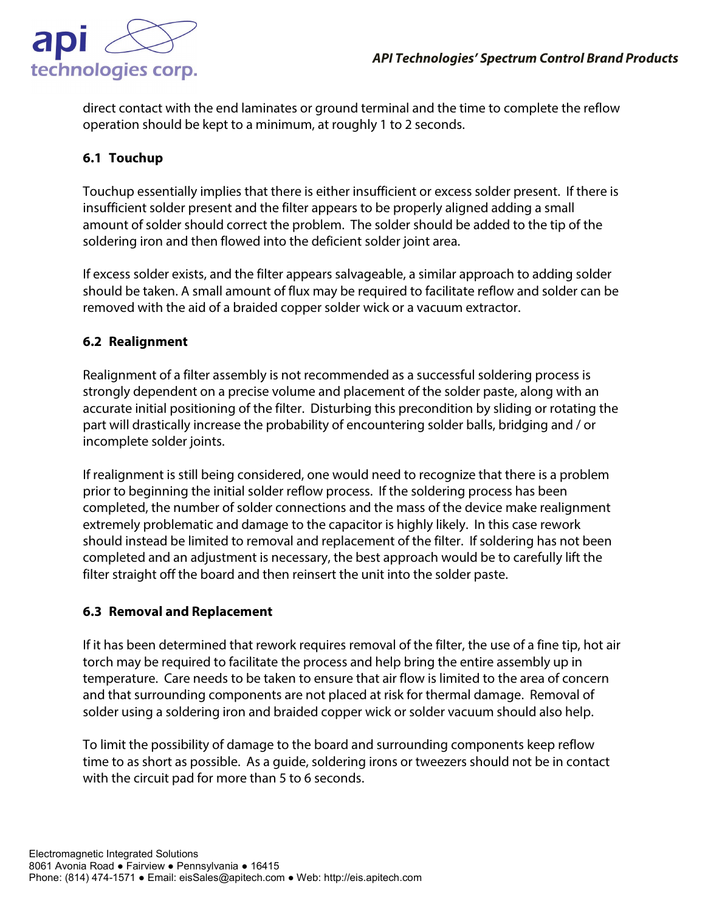

direct contact with the end laminates or ground terminal and the time to complete the reflow operation should be kept to a minimum, at roughly 1 to 2 seconds.

# **6.1 Touchup**

Touchup essentially implies that there is either insufficient or excess solder present. If there is insufficient solder present and the filter appears to be properly aligned adding a small amount of solder should correct the problem. The solder should be added to the tip of the soldering iron and then flowed into the deficient solder joint area.

If excess solder exists, and the filter appears salvageable, a similar approach to adding solder should be taken. A small amount of flux may be required to facilitate reflow and solder can be removed with the aid of a braided copper solder wick or a vacuum extractor.

# **6.2 Realignment**

Realignment of a filter assembly is not recommended as a successful soldering process is strongly dependent on a precise volume and placement of the solder paste, along with an accurate initial positioning of the filter. Disturbing this precondition by sliding or rotating the part will drastically increase the probability of encountering solder balls, bridging and / or incomplete solder joints.

If realignment is still being considered, one would need to recognize that there is a problem prior to beginning the initial solder reflow process. If the soldering process has been completed, the number of solder connections and the mass of the device make realignment extremely problematic and damage to the capacitor is highly likely. In this case rework should instead be limited to removal and replacement of the filter. If soldering has not been completed and an adjustment is necessary, the best approach would be to carefully lift the filter straight off the board and then reinsert the unit into the solder paste.

#### **6.3 Removal and Replacement**

If it has been determined that rework requires removal of the filter, the use of a fine tip, hot air torch may be required to facilitate the process and help bring the entire assembly up in temperature. Care needs to be taken to ensure that air flow is limited to the area of concern and that surrounding components are not placed at risk for thermal damage. Removal of solder using a soldering iron and braided copper wick or solder vacuum should also help.

To limit the possibility of damage to the board and surrounding components keep reflow time to as short as possible. As a guide, soldering irons or tweezers should not be in contact with the circuit pad for more than 5 to 6 seconds.